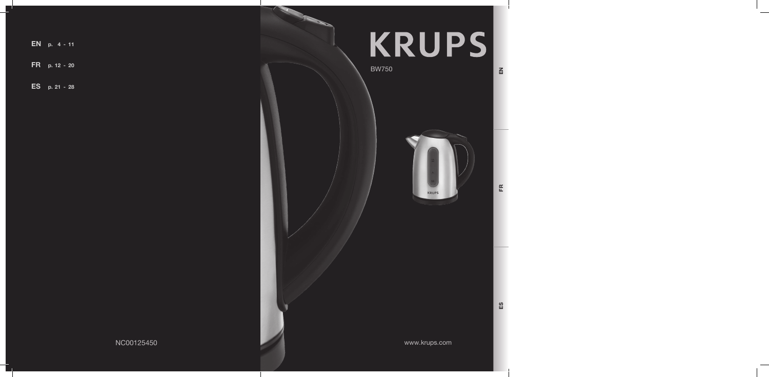EN p. 4 - 11

FR p. 12 - 20

ES p. 21 - 28



BW750



ES

EN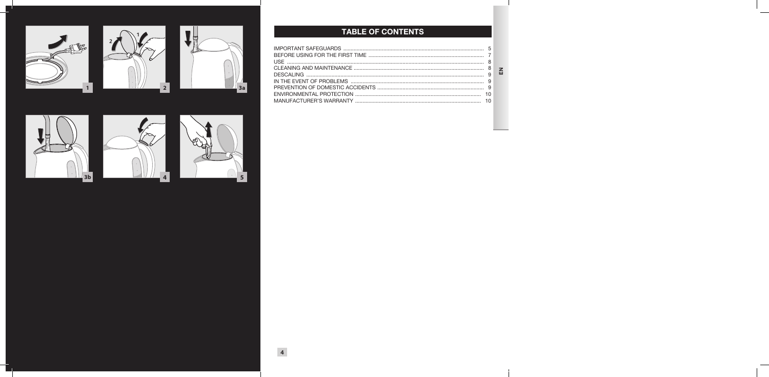











# TABLE OF CONTENTS

 $\Xi$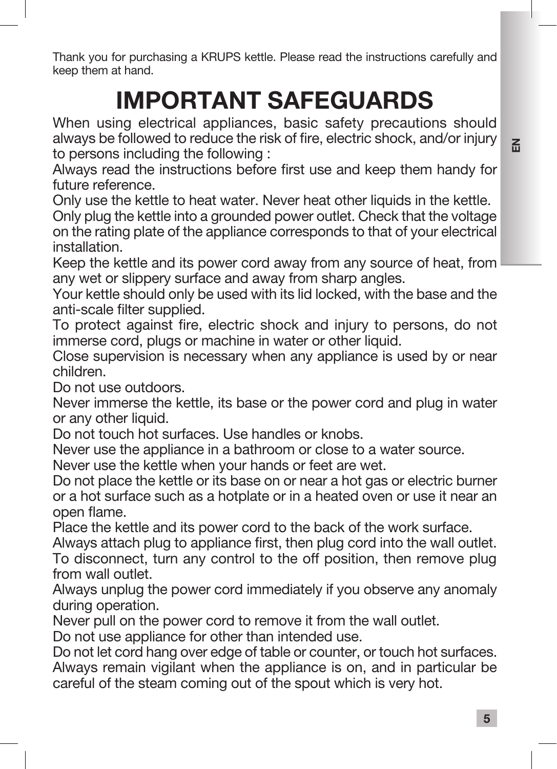Thank you for purchasing a KRUPS kettle. Please read the instructions carefully and keep them at hand.

# IMPORTANT SAFEGUARDS

When using electrical appliances, basic safety precautions should always be followed to reduce the risk of fire, electric shock, and/or injury to persons including the following :

Always read the instructions before first use and keep them handy for future reference.

Only use the kettle to heat water. Never heat other liquids in the kettle. Only plug the kettle into a grounded power outlet. Check that the voltage on the rating plate of the appliance corresponds to that of your electrical installation.

Keep the kettle and its power cord away from any source of heat, from any wet or slippery surface and away from sharp angles.

Your kettle should only be used with its lid locked, with the base and the anti-scale filter supplied.

To protect against fire, electric shock and injury to persons, do not immerse cord, plugs or machine in water or other liquid.

Close supervision is necessary when any appliance is used by or near children.

Do not use outdoors.

Never immerse the kettle, its base or the power cord and plug in water or any other liquid.

Do not touch hot surfaces. Use handles or knobs.

Never use the appliance in a bathroom or close to a water source.

Never use the kettle when your hands or feet are wet.

Do not place the kettle or its base on or near a hot gas or electric burner or a hot surface such as a hotplate or in a heated oven or use it near an open flame.

Place the kettle and its power cord to the back of the work surface.

Always attach plug to appliance first, then plug cord into the wall outlet. To disconnect, turn any control to the off position, then remove plug from wall outlet.

Always unplug the power cord immediately if you observe any anomaly during operation.

Never pull on the power cord to remove it from the wall outlet.

Do not use appliance for other than intended use.

Do not let cord hang over edge of table or counter, or touch hot surfaces. Always remain vigilant when the appliance is on, and in particular be careful of the steam coming out of the spout which is very hot.

 $\Xi$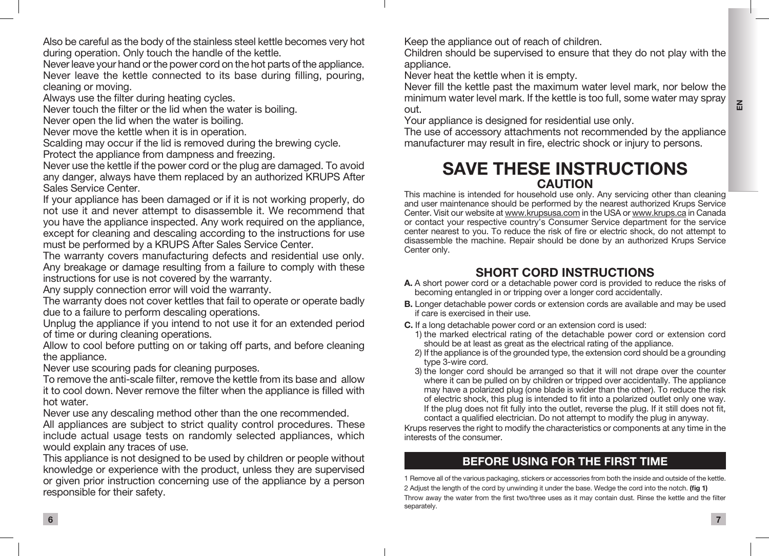$\overline{m}$ 

Also be careful as the body of the stainless steel kettle becomes very hot during operation. Only touch the handle of the kettle.

Never leave your hand or the power cord on the hot parts of the appliance. Never leave the kettle connected to its base during filling, pouring, cleaning or moving.

Always use the filter during heating cycles.

Never touch the filter or the lid when the water is boiling.

Never open the lid when the water is boiling.

Never move the kettle when it is in operation.

Scalding may occur if the lid is removed during the brewing cycle. Protect the appliance from dampness and freezing.

Never use the kettle if the power cord or the plug are damaged. To avoid any danger, always have them replaced by an authorized KRUPS After Sales Service Center.

If your appliance has been damaged or if it is not working properly, do not use it and never attempt to disassemble it. We recommend that you have the appliance inspected. Any work required on the appliance, except for cleaning and descaling according to the instructions for use must be performed by a KRUPS After Sales Service Center.

The warranty covers manufacturing defects and residential use only. Any breakage or damage resulting from a failure to comply with these instructions for use is not covered by the warranty.

Any supply connection error will void the warranty.

The warranty does not cover kettles that fail to operate or operate badly due to a failure to perform descaling operations.

Unplug the appliance if you intend to not use it for an extended period of time or during cleaning operations.

Allow to cool before putting on or taking off parts, and before cleaning the appliance.

Never use scouring pads for cleaning purposes.

To remove the anti-scale filter, remove the kettle from its base and allow it to cool down. Never remove the filter when the appliance is filled with hot water.

Never use any descaling method other than the one recommended.

All appliances are subject to strict quality control procedures. These include actual usage tests on randomly selected appliances, which would explain any traces of use.

This appliance is not designed to be used by children or people without knowledge or experience with the product, unless they are supervised or given prior instruction concerning use of the appliance by a person responsible for their safety.

Keep the appliance out of reach of children.

Children should be supervised to ensure that they do not play with the appliance.

Never heat the kettle when it is empty.

Never fill the kettle past the maximum water level mark, nor below the minimum water level mark. If the kettle is too full, some water may spray out.

Your appliance is designed for residential use only.

The use of accessory attachments not recommended by the appliance manufacturer may result in fire, electric shock or injury to persons.

# SAVE THESE INSTRUCTIONS CAUTION

This machine is intended for household use only. Any servicing other than cleaning and user maintenance should be performed by the nearest authorized Krups Service Center. Visit our website at www.krupsusa.com in the USA or www.krups.ca in Canada or contact your respective country's Consumer Service department for the service center nearest to you. To reduce the risk of fire or electric shock, do not attempt to disassemble the machine. Repair should be done by an authorized Krups Service Center only.

# SHORT CORD INSTRUCTIONS

- A. A short power cord or a detachable power cord is provided to reduce the risks of becoming entangled in or tripping over a longer cord accidentally.
- **B.** Longer detachable power cords or extension cords are available and may be used if care is exercised in their use.
- C. If a long detachable power cord or an extension cord is used:
	- 1) the marked electrical rating of the detachable power cord or extension cord should be at least as great as the electrical rating of the appliance.
	- 2) If the appliance is of the grounded type, the extension cord should be a grounding type 3-wire cord.
	- 3) the longer cord should be arranged so that it will not drape over the counter where it can be pulled on by children or tripped over accidentally. The appliance may have a polarized plug (one blade is wider than the other). To reduce the risk of electric shock, this plug is intended to fit into a polarized outlet only one way. If the plug does not fit fully into the outlet, reverse the plug. If it still does not fit, contact a qualified electrician. Do not attempt to modify the plug in anyway.

Krups reserves the right to modify the characteristics or components at any time in the interests of the consumer.

# BEFORE USING FOR THE FIRST TIME

1 Remove all of the various packaging, stickers or accessories from both the inside and outside of the kettle. 2 Adjust the length of the cord by unwinding it under the base. Wedge the cord into the notch. (fig 1) Throw away the water from the first two/three uses as it may contain dust. Rinse the kettle and the filter separately.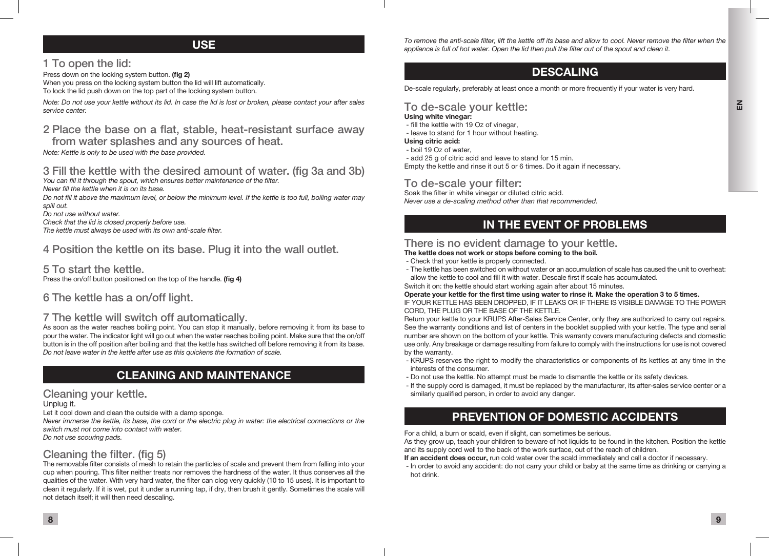### USE

### 1 To open the lid:

Press down on the locking system button. (fig 2) When you press on the locking system button the lid will lift automatically. To lock the lid push down on the top part of the locking system button.

*Note: Do not use your kettle without its lid. In case the lid is lost or broken, please contact your after sales service center.*

### 2 Place the base on a flat, stable, heat-resistant surface away

from water splashes and any sources of heat. *Note: Kettle is only to be used with the base provided.*

# 3 Fill the kettle with the desired amount of water. (fig 3a and 3b)

*You can fill it through the spout, which ensures better maintenance of the filter.*

*Never fill the kettle when it is on its base.*

*Do not fill it above the maximum level, or below the minimum level. If the kettle is too full, boiling water may spill out.*

*Do not use without water.*

*Check that the lid is closed properly before use.*

*The kettle must always be used with its own anti-scale filter.*

### 4 Position the kettle on its base. Plug it into the wall outlet.

### 5 To start the kettle.

Press the on/off button positioned on the top of the handle. (fig 4)

### 6 The kettle has a on/off light.

#### 7 The kettle will switch off automatically.

As soon as the water reaches boiling point. You can stop it manually, before removing it from its base to pour the water. The indicator light will go out when the water reaches boiling point. Make sure that the on/off button is in the off position after boiling and that the kettle has switched off before removing it from its base. *Do not leave water in the kettle after use as this quickens the formation of scale.*

# CLEANING AND MAINTENANCE

#### Cleaning your kettle.

Unplug it.

Let it cool down and clean the outside with a damp sponge.

*Never immerse the kettle, its base, the cord or the electric plug in water: the electrical connections or the switch must not come into contact with water.*

*Do not use scouring pads.*

# Cleaning the filter. (fig 5)

The removable filter consists of mesh to retain the particles of scale and prevent them from falling into your cup when pouring. This filter neither treats nor removes the hardness of the water. It thus conserves all the qualities of the water. With very hard water, the filter can clog very quickly (10 to 15 uses). It is important to clean it regularly. If it is wet, put it under a running tap, if dry, then brush it gently. Sometimes the scale will not detach itself; it will then need descaling.

*To remove the anti-scale filter, lift the kettle off its base and allow to cool. Never remove the filter when the appliance is full of hot water. Open the lid then pull the filter out of the spout and clean it.*

# DESCALING

De-scale regularly, preferably at least once a month or more frequently if your water is very hard.

### To de-scale your kettle:

#### Using white vinegar:

- fill the kettle with 19 Oz of vinegar,
- leave to stand for 1 hour without heating.

#### Using citric acid:

- boil 19 Oz of water,

 - add 25 g of citric acid and leave to stand for 15 min. Empty the kettle and rinse it out 5 or 6 times. Do it again if necessary.

### To de-scale your filter:

Soak the filter in white vinegar or diluted citric acid. *Never use a de-scaling method other than that recommended.*

# IN THE EVENT OF PROBLEMS

#### There is no evident damage to your kettle.

The kettle does not work or stops before coming to the boil.

- Check that your kettle is properly connected.
- The kettle has been switched on without water or an accumulation of scale has caused the unit to overheat: allow the kettle to cool and fill it with water. Descale first if scale has accumulated.

Switch it on: the kettle should start working again after about 15 minutes.

#### Operate your kettle for the first time using water to rinse it. Make the operation 3 to 5 times.

IF YOUR KETTLE HAS BEEN DROPPED, IF IT LEAKS OR IF THERE IS VISIBLE DAMAGE TO THE POWER CORD, THE PLUG OR THE BASE OF THE KETTLE.

Return your kettle to your KRUPS After-Sales Service Center, only they are authorized to carry out repairs. See the warranty conditions and list of centers in the booklet supplied with your kettle. The type and serial number are shown on the bottom of your kettle. This warranty covers manufacturing defects and domestic use only. Any breakage or damage resulting from failure to comply with the instructions for use is not covered by the warranty.

- KRUPS reserves the right to modify the characteristics or components of its kettles at any time in the interests of the consumer.
- Do not use the kettle. No attempt must be made to dismantle the kettle or its safety devices.
- If the supply cord is damaged, it must be replaced by the manufacturer, its after-sales service center or a similarly qualified person, in order to avoid any danger.

# PREVENTION OF DOMESTIC ACCIDENTS

For a child, a burn or scald, even if slight, can sometimes be serious.

As they grow up, teach your children to beware of hot liquids to be found in the kitchen. Position the kettle and its supply cord well to the back of the work surface, out of the reach of children.

If an accident does occur, run cold water over the scald immediately and call a doctor if necessary.

 - In order to avoid any accident: do not carry your child or baby at the same time as drinking or carrying a hot drink.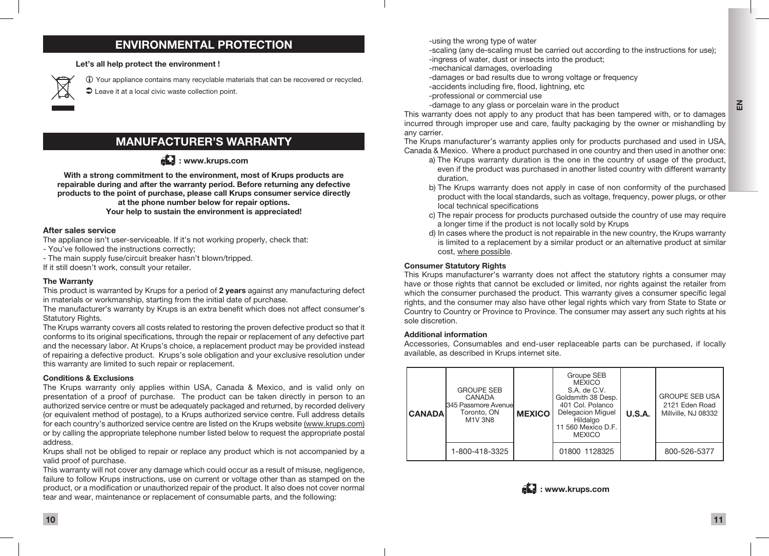### ENVIRONMENTAL PROTECTION

Let's all help protect the environment !



 Your appliance contains many recyclable materials that can be recovered or recycled.

 $\bullet$  Leave it at a local civic waste collection point.

### MANUFACTURER'S WARRANTY

 $\mathbb{Z}$ : www.krups.com

With a strong commitment to the environment, most of Krups products are repairable during and after the warranty period. Before returning any defective products to the point of purchase, please call Krups consumer service directly at the phone number below for repair options. Your help to sustain the environment is appreciated!

#### After sales service

The appliance isn't user-serviceable. If it's not working properly, check that:

- You've followed the instructions correctly;

- The main supply fuse/circuit breaker hasn't blown/tripped.

If it still doesn't work, consult your retailer.

#### The Warranty

This product is warranted by Krups for a period of 2 years against any manufacturing defect in materials or workmanship, starting from the initial date of purchase.

The manufacturer's warranty by Krups is an extra benefit which does not affect consumer's Statutory Rights.

The Krups warranty covers all costs related to restoring the proven defective product so that it conforms to its original specifications, through the repair or replacement of any defective part and the necessary labor. At Krups's choice, a replacement product may be provided instead of repairing a defective product. Krups's sole obligation and your exclusive resolution under this warranty are limited to such repair or replacement.

#### Conditions & Exclusions

The Krups warranty only applies within USA, Canada & Mexico, and is valid only on presentation of a proof of purchase. The product can be taken directly in person to an authorized service centre or must be adequately packaged and returned, by recorded delivery (or equivalent method of postage), to a Krups authorized service centre. Full address details for each country's authorized service centre are listed on the Krups website (www.krups.com) or by calling the appropriate telephone number listed below to request the appropriate postal address.

Krups shall not be obliged to repair or replace any product which is not accompanied by a valid proof of purchase.

This warranty will not cover any damage which could occur as a result of misuse, negligence, failure to follow Krups instructions, use on current or voltage other than as stamped on the product, or a modification or unauthorized repair of the product. It also does not cover normal tear and wear, maintenance or replacement of consumable parts, and the following:

-using the wrong type of water

- -scaling (any de-scaling must be carried out according to the instructions for use);
- -ingress of water, dust or insects into the product;
- -mechanical damages, overloading
- -damages or bad results due to wrong voltage or frequency
- -accidents including fire, flood, lightning, etc
- -professional or commercial use
- -damage to any glass or porcelain ware in the product

This warranty does not apply to any product that has been tampered with, or to damages incurred through improper use and care, faulty packaging by the owner or mishandling by any carrier.

The Krups manufacturer's warranty applies only for products purchased and used in USA, Canada & Mexico. Where a product purchased in one country and then used in another one:

- a) The Krups warranty duration is the one in the country of usage of the product, even if the product was purchased in another listed country with different warranty duration.
- b) The Krups warranty does not apply in case of non conformity of the purchased product with the local standards, such as voltage, frequency, power plugs, or other local technical specifications
- c) The repair process for products purchased outside the country of use may require a longer time if the product is not locally sold by Krups
- d) In cases where the product is not repairable in the new country, the Krups warranty is limited to a replacement by a similar product or an alternative product at similar cost, where possible.

#### Consumer Statutory Rights

This Krups manufacturer's warranty does not affect the statutory rights a consumer may have or those rights that cannot be excluded or limited, nor rights against the retailer from which the consumer purchased the product. This warranty gives a consumer specific legal rights, and the consumer may also have other legal rights which vary from State to State or Country to Country or Province to Province. The consumer may assert any such rights at his sole discretion.

#### Additional information

Accessories, Consumables and end-user replaceable parts can be purchased, if locally available, as described in Krups internet site.





 $\mathbf{F}_{\text{m}}$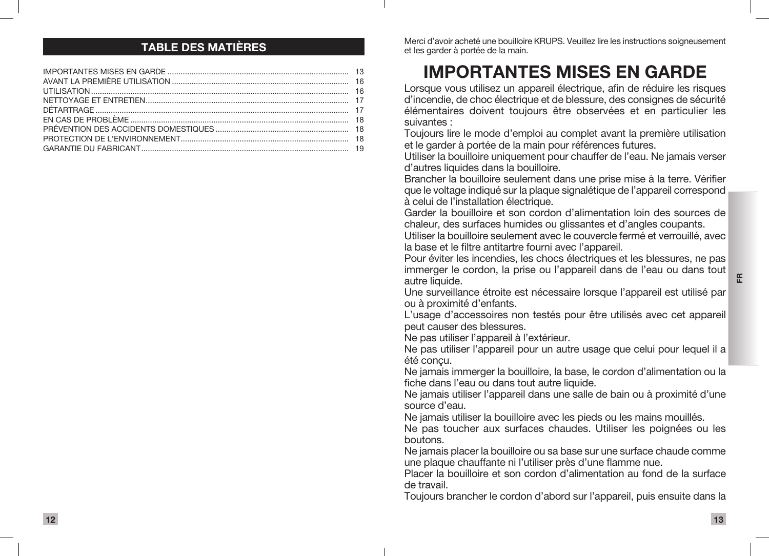### TABLE DES MATIÈRES

Merci d'avoir acheté une bouilloire KRUPS. Veuillez lire les instructions soigneusement et les garder à portée de la main.

# IMPORTANTES MISES EN GARDE

Lorsque vous utilisez un appareil électrique, afin de réduire les risques d'incendie, de choc électrique et de blessure, des consignes de sécurité élémentaires doivent toujours être observées et en particulier les suivantes :

Toujours lire le mode d'emploi au complet avant la première utilisation et le garder à portée de la main pour références futures.

Utiliser la bouilloire uniquement pour chauffer de l'eau. Ne jamais verser d'autres liquides dans la bouilloire.

Brancher la bouilloire seulement dans une prise mise à la terre. Vérifier que le voltage indiqué sur la plaque signalétique de l'appareil correspond à celui de l'installation électrique.

Garder la bouilloire et son cordon d'alimentation loin des sources de chaleur, des surfaces humides ou glissantes et d'angles coupants.

Utiliser la bouilloire seulement avec le couvercle fermé et verrouillé, avec la base et le filtre antitartre fourni avec l'appareil.

Pour éviter les incendies, les chocs électriques et les blessures, ne pas immerger le cordon, la prise ou l'appareil dans de l'eau ou dans tout autre liquide.

Une surveillance étroite est nécessaire lorsque l'appareil est utilisé par ou à proximité d'enfants.

L'usage d'accessoires non testés pour être utilisés avec cet appareil peut causer des blessures.

Ne pas utiliser l'appareil à l'extérieur.

Ne pas utiliser l'appareil pour un autre usage que celui pour lequel il a été conçu.

Ne jamais immerger la bouilloire, la base, le cordon d'alimentation ou la fiche dans l'eau ou dans tout autre liquide.

Ne jamais utiliser l'appareil dans une salle de bain ou à proximité d'une source d'eau.

Ne jamais utiliser la bouilloire avec les pieds ou les mains mouillés.

Ne pas toucher aux surfaces chaudes. Utiliser les poignées ou les boutons.

Ne jamais placer la bouilloire ou sa base sur une surface chaude comme une plaque chauffante ni l'utiliser près d'une flamme nue.

Placer la bouilloire et son cordon d'alimentation au fond de la surface de travail.

Toujours brancher le cordon d'abord sur l'appareil, puis ensuite dans la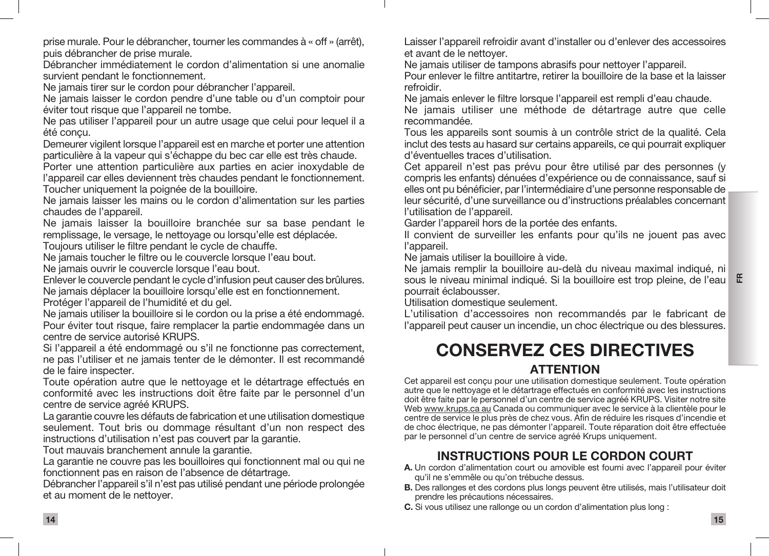prise murale. Pour le débrancher, tourner les commandes à « off » (arrêt), puis débrancher de prise murale.

Débrancher immédiatement le cordon d'alimentation si une anomalie survient pendant le fonctionnement.

Ne jamais tirer sur le cordon pour débrancher l'appareil.

Ne jamais laisser le cordon pendre d'une table ou d'un comptoir pour éviter tout risque que l'appareil ne tombe.

Ne pas utiliser l'appareil pour un autre usage que celui pour lequel il a été conçu.

Demeurer vigilent lorsque l'appareil est en marche et porter une attention particulière à la vapeur qui s'échappe du bec car elle est très chaude.

Porter une attention particulière aux parties en acier inoxydable de l'appareil car elles deviennent très chaudes pendant le fonctionnement. Toucher uniquement la poignée de la bouilloire.

Ne jamais laisser les mains ou le cordon d'alimentation sur les parties chaudes de l'appareil.

Ne jamais laisser la bouilloire branchée sur sa base pendant le remplissage, le versage, le nettoyage ou lorsqu'elle est déplacée.

Toujours utiliser le filtre pendant le cycle de chauffe.

Ne jamais toucher le filtre ou le couvercle lorsque l'eau bout.

Ne jamais ouvrir le couvercle lorsque l'eau bout.

Enlever le couvercle pendant le cycle d'infusion peut causer des brûlures. Ne jamais déplacer la bouilloire lorsqu'elle est en fonctionnement.

Protéger l'appareil de l'humidité et du gel.

Ne jamais utiliser la bouilloire si le cordon ou la prise a été endommagé. Pour éviter tout risque, faire remplacer la partie endommagée dans un centre de service autorisé KRUPS.

Si l'appareil a été endommagé ou s'il ne fonctionne pas correctement, ne pas l'utiliser et ne jamais tenter de le démonter. Il est recommandé de le faire inspecter.

Toute opération autre que le nettoyage et le détartrage effectués en conformité avec les instructions doit être faite par le personnel d'un centre de service agréé KRUPS.

La garantie couvre les défauts de fabrication et une utilisation domestique seulement. Tout bris ou dommage résultant d'un non respect des instructions d'utilisation n'est pas couvert par la garantie.

Tout mauvais branchement annule la garantie.

La garantie ne couvre pas les bouilloires qui fonctionnent mal ou qui ne fonctionnent pas en raison de l'absence de détartrage.

Débrancher l'appareil s'il n'est pas utilisé pendant une période prolongée et au moment de le nettoyer.

Laisser l'appareil refroidir avant d'installer ou d'enlever des accessoires et avant de le nettoyer.

Ne jamais utiliser de tampons abrasifs pour nettoyer l'appareil.

Pour enlever le filtre antitartre, retirer la bouilloire de la base et la laisser refroidir.

Ne jamais enlever le filtre lorsque l'appareil est rempli d'eau chaude.

Ne jamais utiliser une méthode de détartrage autre que celle recommandée.

Tous les appareils sont soumis à un contrôle strict de la qualité. Cela inclut des tests au hasard sur certains appareils, ce qui pourrait expliquer d'éventuelles traces d'utilisation.

Cet appareil n'est pas prévu pour être utilisé par des personnes (y compris les enfants) dénuées d'expérience ou de connaissance, sauf si elles ont pu bénéficier, par l'intermédiaire d'une personne responsable de leur sécurité, d'une surveillance ou d'instructions préalables concernant l'utilisation de l'appareil.

Garder l'appareil hors de la portée des enfants.

Il convient de surveiller les enfants pour qu'ils ne jouent pas avec l'appareil.

Ne jamais utiliser la bouilloire à vide.

Ne jamais remplir la bouilloire au-delà du niveau maximal indiqué, ni sous le niveau minimal indiqué. Si la bouilloire est trop pleine, de l'eau **E** pourrait éclabousser.

Utilisation domestique seulement.

L'utilisation d'accessoires non recommandés par le fabricant de l'appareil peut causer un incendie, un choc électrique ou des blessures.

# CONSERVEZ CES DIRECTIVES ATTENTION

Cet appareil est conçu pour une utilisation domestique seulement. Toute opération autre que le nettoyage et le détartrage effectués en conformité avec les instructions doit être faite par le personnel d'un centre de service agréé KRUPS. Visiter notre site Web www.krups.ca au Canada ou communiquer avec le service à la clientèle pour le centre de service le plus près de chez vous. Afin de réduire les risques d'incendie et de choc électrique, ne pas démonter l'appareil. Toute réparation doit être effectuée par le personnel d'un centre de service agréé Krups uniquement.

# INSTRUCTIONS POUR LE CORDON COURT

- A. Un cordon d'alimentation court ou amovible est fourni avec l'appareil pour éviter qu'il ne s'emmêle ou qu'on trébuche dessus.
- B. Des rallonges et des cordons plus longs peuvent être utilisés, mais l'utilisateur doit prendre les précautions nécessaires.
- C. Si vous utilisez une rallonge ou un cordon d'alimentation plus long :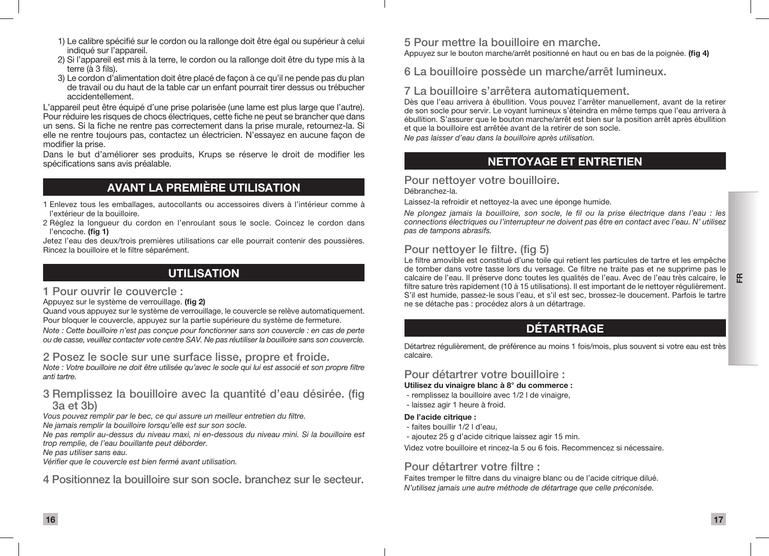- 1) Le calibre spécifié sur le cordon ou la rallonge doit être égal ou supérieur à celui indiqué sur l'appareil.
- 2) Si l'appareil est mis à la terre, le cordon ou la rallonge doit être du type mis à la terre (à 3 fils).
- 3) Le cordon d'alimentation doit être placé de façon à ce qu'il ne pende pas du plan de travail ou du haut de la table car un enfant pourrait tirer dessus ou trébucher accidentellement.

L'appareil peut être équipé d'une prise polarisée (une lame est plus large que l'autre). Pour réduire les risques de chocs électriques, cette fiche ne peut se brancher que dans un sens. Si la fiche ne rentre pas correctement dans la prise murale, retournez-la. Si elle ne rentre toujours pas, contactez un électricien. N'essayez en aucune façon de modifier la prise.

Dans le but d'améliorer ses produits, Krups se réserve le droit de modifier les spécifications sans avis préalable.

# AVANT LA PREMIÈRE UTILISATION

- 1 Enlevez tous les emballages, autocollants ou accessoires divers à l'intérieur comme à l'extérieur de la bouilloire.
- 2 Réglez la longueur du cordon en l'enroulant sous le socle. Coincez le cordon dans l'encoche. (fig 1)

Jetez l'eau des deux/trois premières utilisations car elle pourrait contenir des poussières. Rincez la bouilloire et le filtre séparément.

### UTILISATION

#### 1 Pour ouvrir le couvercle :

Appuyez sur le système de verrouillage. (fig 2)

Quand vous appuyez sur le système de verrouillage, le couvercle se relève automatiquement. Pour bloquer le couvercle, appuyez sur la partie supérieure du système de fermeture. *Note : Cette bouilloire n'est pas conçue pour fonctionner sans son couvercle : en cas de perte* 

*ou de casse, veuillez contacter vote centre SAV. Ne pas réutiliser la bouilloire sans son couvercle.*

### 2 Posez le socle sur une surface lisse, propre et froide.

*Note : Votre bouilloire ne doit être utilisée qu'avec le socle qui lui est associé et son propre filtre anti tartre.*

### 3 Remplissez la bouilloire avec la quantité d'eau désirée. (fig 3a et 3b)

*Vous pouvez remplir par le bec, ce qui assure un meilleur entretien du filtre.*

*Ne jamais remplir la bouilloire lorsqu'elle est sur son socle.*

*Ne pas remplir au-dessus du niveau maxi, ni en-dessous du niveau mini. Si la bouilloire est trop remplie, de l'eau bouillante peut déborder.*

*Ne pas utiliser sans eau.*

*Vérifier que le couvercle est bien fermé avant utilisation.*

4 Positionnez la bouilloire sur son socle. branchez sur le secteur.

# 5 Pour mettre la bouilloire en marche.

Appuyez sur le bouton marche/arrêt positionné en haut ou en bas de la poignée. (fig 4)

6 La bouilloire possède un marche/arrêt lumineux.

### 7 La bouilloire s'arrêtera automatiquement.

Dès que l'eau arrivera à ébullition. Vous pouvez l'arrêter manuellement, avant de la retirer de son socle pour servir. Le voyant lumineux s'éteindra en même temps que l'eau arrivera à ébullition. S'assurer que le bouton marche/arrêt est bien sur la position arrêt après ébullition et que la bouilloire est arrêtée avant de la retirer de son socle. *Ne pas laisser d'eau dans la bouilloire après utilisation.*

# NETTOYAGE ET ENTRETIEN

#### Pour nettoyer votre bouilloire. Débranchez-la.

Laissez-la refroidir et nettoyez-la avec une éponge humide.

*Ne plongez jamais la bouilloire, son socle, le fil ou la prise électrique dans l'eau : les connections électriques ou l'interrupteur ne doivent pas être en contact avec l'eau. N' utilisez pas de tampons abrasifs.*

# Pour nettoyer le filtre. (fig 5)

Le filtre amovible est constitué d'une toile qui retient les particules de tartre et les empêche de tomber dans votre tasse lors du versage. Ce filtre ne traite pas et ne supprime pas le calcaire de l'eau. Il préserve donc toutes les qualités de l'eau. Avec de l'eau très calcaire, le filtre sature très rapidement (10 à 15 utilisations). Il est important de le nettoyer régulièrement. S'il est humide, passez-le sous l'eau, et s'il est sec, brossez-le doucement. Parfois le tartre ne se détache pas : procédez alors à un détartrage.

# DÉTARTRAGE

Détartrez régulièrement, de préférence au moins 1 fois/mois, plus souvent si votre eau est très calcaire.

### Pour détartrer votre bouilloire :

#### Utilisez du vinaigre blanc à 8° du commerce :

- remplissez la bouilloire avec 1/2 l de vinaigre,
- laissez agir 1 heure à froid.

### De l'acide citrique :

- faites bouillir 1/2 l d'eau,
- ajoutez 25 g d'acide citrique laissez agir 15 min.

Videz votre bouilloire et rincez-la 5 ou 6 fois. Recommencez si nécessaire.

# Pour détartrer votre filtre :

Faites tremper le filtre dans du vinaigre blanc ou de l'acide citrique dilué. *N'utilisez jamais une autre méthode de détartrage que celle préconisée.*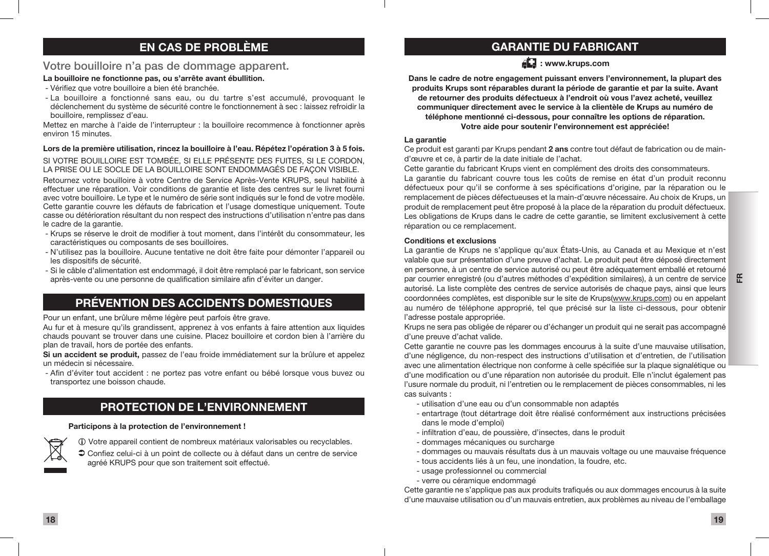### EN CAS DE PROBLÈME

#### Votre bouilloire n'a pas de dommage apparent.

#### La bouilloire ne fonctionne pas, ou s'arrête avant ébullition.

- Vérifiez que votre bouilloire a bien été branchée.
- La bouilloire a fonctionné sans eau, ou du tartre s'est accumulé, provoquant le déclenchement du système de sécurité contre le fonctionnement à sec : laissez refroidir la bouilloire, remplissez d'eau.

Mettez en marche à l'aide de l'interrupteur : la bouilloire recommence à fonctionner après environ 15 minutes.

#### Lors de la première utilisation, rincez la bouilloire à l'eau. Répétez l'opération 3 à 5 fois. SI VOTRE BOUILLOIRE EST TOMBÉE, SI ELLE PRÉSENTE DES FUITES, SI LE CORDON. LA PRISE OU LE SOCLE DE LA BOUILLOIRE SONT ENDOMMAGÉS DE FAÇON VISIBLE.

Retournez votre bouilloire à votre Centre de Service Après-Vente KRUPS, seul habilité à effectuer une réparation. Voir conditions de garantie et liste des centres sur le livret fourni avec votre bouilloire. Le type et le numéro de série sont indiqués sur le fond de votre modèle. Cette garantie couvre les défauts de fabrication et l'usage domestique uniquement. Toute casse ou détérioration résultant du non respect des instructions d'utilisation n'entre pas dans le cadre de la garantie.

- Krups se réserve le droit de modifier à tout moment, dans l'intérêt du consommateur, les caractéristiques ou composants de ses bouilloires.
- N'utilisez pas la bouilloire. Aucune tentative ne doit être faite pour démonter l'appareil ou les dispositifs de sécurité.
- Si le câble d'alimentation est endommagé, il doit être remplacé par le fabricant, son service après-vente ou une personne de qualification similaire afin d'éviter un danger.

### PRÉVENTION DES ACCIDENTS DOMESTIQUES

Pour un enfant, une brûlure même légère peut parfois être grave.

Au fur et à mesure qu'ils grandissent, apprenez à vos enfants à faire attention aux liquides chauds pouvant se trouver dans une cuisine. Placez bouilloire et cordon bien à l'arrière du plan de travail, hors de portée des enfants.

Si un accident se produit, passez de l'eau froide immédiatement sur la brûlure et appelez un médecin si nécessaire.

 - Afin d'éviter tout accident : ne portez pas votre enfant ou bébé lorsque vous buvez ou transportez une boisson chaude.

### PROTECTION DE L'ENVIRONNEMENT

#### Participons à la protection de l'environnement !



 Votre appareil contient de nombreux matériaux valorisables ou recyclables.

 Confiez celui-ci à un point de collecte ou à défaut dans un centre de service agréé KRUPS pour que son traitement soit effectué.

### GARANTIE DU FABRICANT

 $AL:$  www.krups.com

Dans le cadre de notre engagement puissant envers l'environnement, la plupart des produits Krups sont réparables durant la période de garantie et par la suite. Avant de retourner des produits défectueux à l'endroit où vous l'avez acheté, veuillez communiquer directement avec le service à la clientèle de Krups au numéro de téléphone mentionné ci-dessous, pour connaître les options de réparation. Votre aide pour soutenir l'environnement est appréciée!

#### La garantie

Ce produit est garanti par Krups pendant 2 ans contre tout défaut de fabrication ou de maind'œuvre et ce, à partir de la date initiale de l'achat.

Cette garantie du fabricant Krups vient en complément des droits des consommateurs. La garantie du fabricant couvre tous les coûts de remise en état d'un produit reconnu défectueux pour qu'il se conforme à ses spécifications d'origine, par la réparation ou le remplacement de pièces défectueuses et la main-d'œuvre nécessaire. Au choix de Krups, un produit de remplacement peut être proposé à la place de la réparation du produit défectueux. Les obligations de Krups dans le cadre de cette garantie, se limitent exclusivement à cette réparation ou ce remplacement.

#### Conditions et exclusions

La garantie de Krups ne s'applique qu'aux États-Unis, au Canada et au Mexique et n'est valable que sur présentation d'une preuve d'achat. Le produit peut être déposé directement en personne, à un centre de service autorisé ou peut être adéquatement emballé et retourné par courrier enregistré (ou d'autres méthodes d'expédition similaires), à un centre de service autorisé. La liste complète des centres de service autorisés de chaque pays, ainsi que leurs coordonnées complètes, est disponible sur le site de Krups(www.krups.com) ou en appelant au numéro de téléphone approprié, tel que précisé sur la liste ci-dessous, pour obtenir l'adresse postale appropriée.

Krups ne sera pas obligée de réparer ou d'échanger un produit qui ne serait pas accompagné d'une preuve d'achat valide.

Cette garantie ne couvre pas les dommages encourus à la suite d'une mauvaise utilisation, d'une négligence, du non-respect des instructions d'utilisation et d'entretien, de l'utilisation avec une alimentation électrique non conforme à celle spécifiée sur la plaque signalétique ou d'une modification ou d'une réparation non autorisée du produit. Elle n'inclut également pas l'usure normale du produit, ni l'entretien ou le remplacement de pièces consommables, ni les cas suivants :

- utilisation d'une eau ou d'un consommable non adaptés
- entartrage (tout détartrage doit être réalisé conformément aux instructions précisées dans le mode d'emploi)
- infiltration d'eau, de poussière, d'insectes, dans le produit
- dommages mécaniques ou surcharge
- dommages ou mauvais résultats dus à un mauvais voltage ou une mauvaise fréquence
- tous accidents liés à un feu, une inondation, la foudre, etc.
- usage professionnel ou commercial
- verre ou céramique endommagé

Cette garantie ne s'applique pas aux produits trafiqués ou aux dommages encourus à la suite d'une mauvaise utilisation ou d'un mauvais entretien, aux problèmes au niveau de l'emballage

FR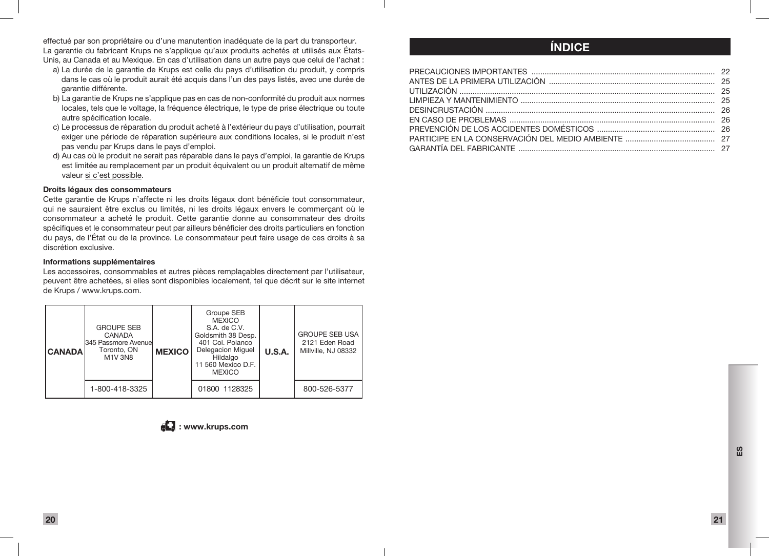effectué par son propriétaire ou d'une manutention inadéquate de la part du transporteur. La garantie du fabricant Krups ne s'applique qu'aux produits achetés et utilisés aux États-Unis, au Canada et au Mexique. En cas d'utilisation dans un autre pays que celui de l'achat :

- a) La durée de la garantie de Krups est celle du pays d'utilisation du produit, y compris dans le cas où le produit aurait été acquis dans l'un des pays listés, avec une durée de garantie différente.
- b) La garantie de Krups ne s'applique pas en cas de non-conformité du produit aux normes locales, tels que le voltage, la fréquence électrique, le type de prise électrique ou toute autre spécification locale.
- c) Le processus de réparation du produit acheté à l'extérieur du pays d'utilisation, pourrait exiger une période de réparation supérieure aux conditions locales, si le produit n'est pas vendu par Krups dans le pays d'emploi.
- d) Au cas où le produit ne serait pas réparable dans le pays d'emploi, la garantie de Krups est limitée au remplacement par un produit équivalent ou un produit alternatif de même valeur si c'est possible.

#### Droits légaux des consommateurs

Cette garantie de Krups n'affecte ni les droits légaux dont bénéficie tout consommateur, qui ne sauraient être exclus ou limités, ni les droits légaux envers le commerçant où le consommateur a acheté le produit. Cette garantie donne au consommateur des droits spécifiques et le consommateur peut par ailleurs bénéficier des droits particuliers en fonction du pays, de l'État ou de la province. Le consommateur peut faire usage de ces droits à sa discrétion exclusive.

#### Informations supplémentaires

Les accessoires, consommables et autres pièces remplaçables directement par l'utilisateur, peuvent être achetées, si elles sont disponibles localement, tel que décrit sur le site internet de Krups / www.krups.com.

| <b>CANADAI</b> | <b>GROUPE SEB</b><br><b>CANADA</b><br><b>345 Passmore Avenuel</b><br>Toronto, ON<br>M1V 3N8 | <b>MEXICO</b> | Groupe SEB<br><b>MEXICO</b><br>S.A. de C.V.<br>Goldsmith 38 Desp.<br>401 Col. Polanco<br><b>Delegacion Miguel</b><br>Hildalgo<br>11 560 Mexico D.F.<br><b>MEXICO</b> | U.S.A. | <b>GROUPE SEB USA</b><br>2121 Eden Road<br>Millville, NJ 08332 |
|----------------|---------------------------------------------------------------------------------------------|---------------|----------------------------------------------------------------------------------------------------------------------------------------------------------------------|--------|----------------------------------------------------------------|
|                | 1-800-418-3325                                                                              |               | 01800 1128325                                                                                                                                                        |        | 800-526-5377                                                   |



# ÍNDICE

 $\mathbf{m}$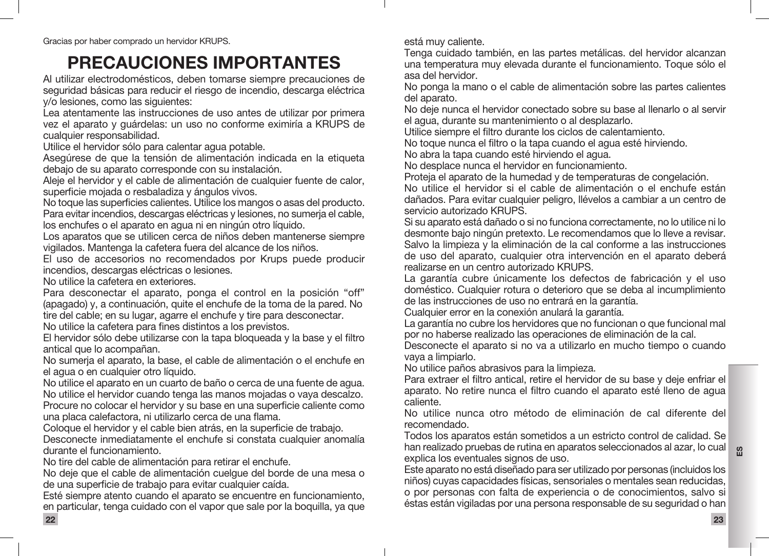# PRECAUCIONES IMPORTANTES

Al utilizar electrodomésticos, deben tomarse siempre precauciones de seguridad básicas para reducir el riesgo de incendio, descarga eléctrica y/o lesiones, como las siguientes:

Lea atentamente las instrucciones de uso antes de utilizar por primera vez el aparato y guárdelas: un uso no conforme eximiría a KRUPS de cualquier responsabilidad.

Utilice el hervidor sólo para calentar agua potable.

Asegúrese de que la tensión de alimentación indicada en la etiqueta debajo de su aparato corresponde con su instalación.

Aleje el hervidor y el cable de alimentación de cualquier fuente de calor. superficie mojada o resbaladiza y ángulos vivos.

No toque las superficies calientes. Utilice los mangos o asas del producto. Para evitar incendios, descargas eléctricas y lesiones, no sumerja el cable, los enchufes o el aparato en agua ni en ningún otro líquido.

Los aparatos que se utilicen cerca de niños deben mantenerse siempre vigilados. Mantenga la cafetera fuera del alcance de los niños.

El uso de accesorios no recomendados por Krups puede producir incendios, descargas eléctricas o lesiones.

No utilice la cafetera en exteriores.

Para desconectar el aparato, ponga el control en la posición "off" (apagado) y, a continuación, quite el enchufe de la toma de la pared. No tire del cable; en su lugar, agarre el enchufe y tire para desconectar.

No utilice la cafetera para fines distintos a los previstos.

El hervidor sólo debe utilizarse con la tapa bloqueada y la base y el filtro antical que lo acompañan.

No sumerja el aparato, la base, el cable de alimentación o el enchufe en el agua o en cualquier otro líquido.

No utilice el aparato en un cuarto de baño o cerca de una fuente de agua. No utilice el hervidor cuando tenga las manos mojadas o vaya descalzo. Procure no colocar el hervidor y su base en una superficie caliente como una placa calefactora, ni utilizarlo cerca de una flama.

Coloque el hervidor y el cable bien atrás, en la superficie de trabajo.

Desconecte inmediatamente el enchufe si constata cualquier anomalía durante el funcionamiento.

No tire del cable de alimentación para retirar el enchufe.

No deje que el cable de alimentación cuelgue del borde de una mesa o de una superficie de trabajo para evitar cualquier caída.

Esté siempre atento cuando el aparato se encuentre en funcionamiento, en particular, tenga cuidado con el vapor que sale por la boquilla, ya que 22

está muy caliente.

Tenga cuidado también, en las partes metálicas. del hervidor alcanzan una temperatura muy elevada durante el funcionamiento. Toque sólo el asa del hervidor.

No ponga la mano o el cable de alimentación sobre las partes calientes del aparato.

No deje nunca el hervidor conectado sobre su base al llenarlo o al servir el agua, durante su mantenimiento o al desplazarlo.

Utilice siempre el filtro durante los ciclos de calentamiento.

No toque nunca el filtro o la tapa cuando el agua esté hirviendo.

No abra la tapa cuando esté hirviendo el agua.

No desplace nunca el hervidor en funcionamiento.

Proteja el aparato de la humedad y de temperaturas de congelación.

No utilice el hervidor si el cable de alimentación o el enchufe están dañados. Para evitar cualquier peligro, llévelos a cambiar a un centro de servicio autorizado KRUPS.

Si su aparato está dañado o si no funciona correctamente, no lo utilice ni lo desmonte bajo ningún pretexto. Le recomendamos que lo lleve a revisar. Salvo la limpieza y la eliminación de la cal conforme a las instrucciones de uso del aparato, cualquier otra intervención en el aparato deberá realizarse en un centro autorizado KRUPS.

La garantía cubre únicamente los defectos de fabricación y el uso doméstico. Cualquier rotura o deterioro que se deba al incumplimiento de las instrucciones de uso no entrará en la garantía.

Cualquier error en la conexión anulará la garantía.

La garantía no cubre los hervidores que no funcionan o que funcional mal por no haberse realizado las operaciones de eliminación de la cal.

Desconecte el aparato si no va a utilizarlo en mucho tiempo o cuando vaya a limpiarlo.

No utilice paños abrasivos para la limpieza.

Para extraer el filtro antical, retire el hervidor de su base y deje enfriar el aparato. No retire nunca el filtro cuando el aparato esté lleno de agua caliente.

No utilice nunca otro método de eliminación de cal diferente del recomendado.

han realizado pruebas de rutina en aparatos seleccionados al azar, lo cual a Todos los aparatos están sometidos a un estricto control de calidad. Se explica los eventuales signos de uso.

Este aparato no está diseñado para ser utilizado por personas (incluidos los niños) cuyas capacidades físicas, sensoriales o mentales sean reducidas, o por personas con falta de experiencia o de conocimientos, salvo si éstas están vigiladas por una persona responsable de su seguridad o han

23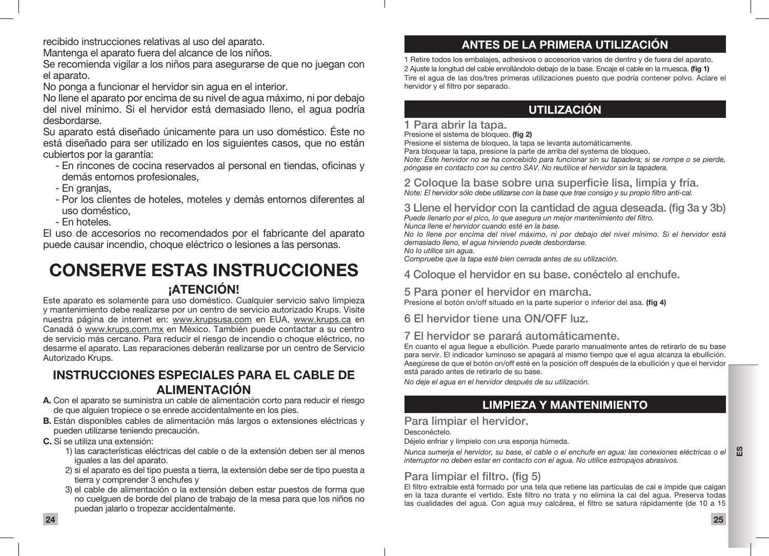recibido instrucciones relativas al uso del aparato.

Mantenga el aparato fuera del alcance de los niños.

Se recomienda vigilar a los niños para asegurarse de que no juegan con el aparato.

No ponga a funcionar el hervidor sin agua en el interior.

No llene el aparato por encima de su nivel de agua máximo, ni por debajo del nivel mínimo. Si el hervidor está demasiado lleno, el agua podría desbordarse.

Su aparato está diseñado únicamente para un uso doméstico. Éste no está diseñado para ser utilizado en los siguientes casos, que no están cubiertos por la garantía:

- En rincones de cocina reservados al personal en tiendas, oficinas y demás entornos profesionales,
- En granjas,
- Por los clientes de hoteles, moteles y demás entornos diferentes al uso doméstico,
- En hoteles.

El uso de accesorios no recomendados por el fabricante del aparato puede causar incendio, choque eléctrico o lesiones a las personas.

# CONSERVE ESTAS INSTRUCCIONES **¡ATENCIÓN!**

Este aparato es solamente para uso doméstico. Cualquier servicio salvo limpieza y mantenimiento debe realizarse por un centro de servicio autorizado Krups. Visite nuestra página de internet en: www.krupsusa.com en EUA, www.krups.ca en Canadá ó www.krups.com.mx en México. También puede contactar a su centro de servicio más cercano. Para reducir el riesgo de incendio o choque eléctrico, no desarme el aparato. Las reparaciones deberán realizarse por un centro de Servicio Autorizado Krups.

### INSTRUCCIONES ESPECIALES PARA EL CABLE DE ALIMENTACIÓN

- A. Con el aparato se suministra un cable de alimentación corto para reducir el riesgo de que alguien tropiece o se enrede accidentalmente en los pies.
- B. Están disponibles cables de alimentación más largos o extensiones eléctricas y pueden utilizarse teniendo precaución.
- C. Si se utiliza una extensión:
	- 1) las características eléctricas del cable o de la extensión deben ser al menos iguales a las del aparato.
	- 2) si el aparato es del tipo puesta a tierra, la extensión debe ser de tipo puesta a tierra y comprender 3 enchufes y
	- 3) el cable de alimentación o la extensión deben estar puestos de forma que no cuelguen de borde del plano de trabajo de la mesa para que los niños no puedan jalarlo o tropezar accidentalmente.

### ANTES DE LA PRIMERA UTILIZACIÓN

1 Retire todos los embalajes, adhesivos o accesorios varios de dentro y de fuera del aparato. 2 Ajuste la longitud del cable enrollándolo debajo de la base. Encaje el cable en la muesca. (fig 1) Tire el agua de las dos/tres primeras utilizaciones puesto que podría contener polvo. Aclare el hervidor y el filtro por separado.

### UTILIZACIÓN

#### 1 Para abrir la tapa.

Presione el sistema de bloqueo. (fig 2)

Presione el sistema de bloqueo, la tapa se levanta automáticamente. Para bloquear la tapa, presione la parte de arriba del systema de bloqueo. *Note: Este hervidor no se ha concebido para funcionar sin su tapadera; si se rompe o se pierde, póngase en contacto con su centro SAV. No reutilice el hervidor sin la tapadera.*

#### 2 Coloque la base sobre una superficie lisa, limpia y fría. *Note: El hervidor sólo debe utilizarse con la base que trae consigo y su propio filtro anti-cal.*

3 Llene el hervidor con la cantidad de agua deseada. (fig 3a y 3b) *Puede llenarlo por el pico, lo que asegura un mejor mantenimiento del filtro. Nunca llene el hervidor cuando esté en la base. No lo llene por encima del nivel máximo, ni por debajo del nivel mínimo. Si el hervidor está demasiado lleno, el agua hirviendo puede desbordarse. No lo utilice sin agua.*

*Compruebe que la tapa esté bien cerrada antes de su utilización.*

4 Coloque el hervidor en su base. conéctelo al enchufe.

### 5 Para poner el hervidor en marcha.

Presione el botón on/off situado en la parte superior o inferior del asa. (fig 4)

6 El hervidor tiene una ON/OFF luz.

### 7 El hervidor se parará automáticamente.

En cuanto el agua llegue a ebullición. Puede pararlo manualmente antes de retirarlo de su base para servir. El indicador luminoso se apagará al mismo tiempo que el agua alcanza la ebullición. Asegúrese de que el botón on/off esté en la posición off después de la ebullición y que el hervidor está parado antes de retirarlo de su base.

*No deje el agua en el hervidor después de su utilización.*

# LIMPIEZA Y MANTENIMIENTO

### Para limpiar el hervidor.

Desconéctelo.

Déjelo enfriar y límpielo con una esponja húmeda.

 $\mathbf{m}$ *Nunca sumerja el hervidor, su base, el cable o el enchufe en agua: las conexiones eléctricas o el interruptor no deben estar en contacto con el agua. No utilice estropajos abrasivos.*

# Para limpiar el filtro. (fig 5)

El filtro extraíble está formado por una tela que retiene las partículas de cal e impide que caigan en la taza durante el vertido. Este filtro no trata y no elimina la cal del agua. Preserva todas las cualidades del agua. Con agua muy calcárea, el filtro se satura rápidamente (de 10 a 15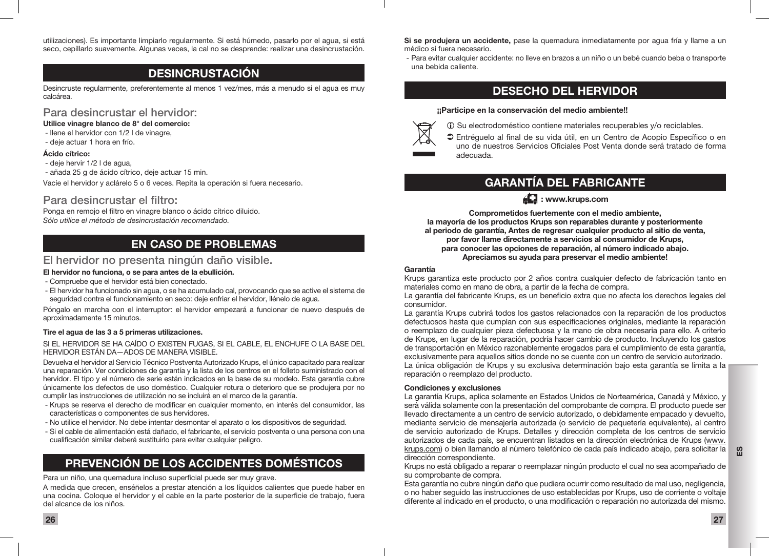utilizaciones). Es importante limpiarlo regularmente. Si está húmedo, pasarlo por el agua, si está seco, cepillarlo suavemente. Algunas veces, la cal no se desprende: realizar una desincrustación.

# DESINCRUSTACIÓN

Desincruste regularmente, preferentemente al menos 1 vez/mes, más a menudo si el agua es muy calcárea.

#### Para desincrustar el hervidor:

Utilice vinagre blanco de 8° del comercio:

- llene el hervidor con 1/2 l de vinagre,
- deje actuar 1 hora en frío.

#### Ácido cítrico:

- deje hervir 1/2 l de agua,
- añada 25 g de ácido cítrico, deje actuar 15 min.

Vacíe el hervidor y aclárelo 5 o 6 veces. Repita la operación si fuera necesario.

#### Para desincrustar el filtro:

Ponga en remojo el filtro en vinagre blanco o ácido cítrico diluido. *Sólo utilice el método de desincrustación recomendado.*

# EN CASO DE PROBLEMAS

### El hervidor no presenta ningún daño visible.

#### El hervidor no funciona, o se para antes de la ebullición.

- Compruebe que el hervidor está bien conectado.
- El hervidor ha funcionado sin agua, o se ha acumulado cal, provocando que se active el sistema de seguridad contra el funcionamiento en seco: deje enfriar el hervidor, llénelo de agua.

Póngalo en marcha con el interruptor: el hervidor empezará a funcionar de nuevo después de aproximadamente 15 minutos.

#### Tire el agua de las 3 a 5 primeras utilizaciones.

SI EL HERVIDOR SE HA CAÍDO O EXISTEN FUGAS, SI EL CABLE, EL ENCHUFE O LA BASE DEL HERVIDOR ESTÁN DA—ADOS DE MANERA VISIBLE.

Devuelva el hervidor al Servicio Técnico Postventa Autorizado Krups, el único capacitado para realizar una reparación. Ver condiciones de garantía y la lista de los centros en el folleto suministrado con el hervidor. El tipo y el número de serie están indicados en la base de su modelo. Esta garantía cubre únicamente los defectos de uso doméstico. Cualquier rotura o deterioro que se produjera por no cumplir las instrucciones de utilización no se incluirá en el marco de la garantía.

- Krups se reserva el derecho de modificar en cualquier momento, en interés del consumidor, las características o componentes de sus hervidores.
- No utilice el hervidor. No debe intentar desmontar el aparato o los dispositivos de seguridad.
- Si el cable de alimentación está dañado, el fabricante, el servicio postventa o una persona con una cualificación similar deberá sustituirlo para evitar cualquier peligro.

# PREVENCIÓN DE LOS ACCIDENTES DOMÉSTICOS

#### Para un niño, una quemadura incluso superficial puede ser muy grave.

A medida que crecen, enséñelos a prestar atención a los líquidos calientes que puede haber en una cocina. Coloque el hervidor y el cable en la parte posterior de la superficie de trabajo, fuera del alcance de los niños.

Si se produjera un accidente, pase la quemadura inmediatamente por agua fría y llame a un médico si fuera necesario.

 - Para evitar cualquier accidente: no lleve en brazos a un niño o un bebé cuando beba o transporte una bebida caliente.

### DESECHO DEL HERVIDOR

#### ¡¡Participe en la conservación del medio ambiente!!



- $\Omega$  Su electrodoméstico contiene materiales recuperables y/o reciclables.
- A → D Entréguelo al final de su vida útil, en un Centro de Acopio Específico o en uno de nuestros Servicios Oficiales Post Venta donde será tratado de forma adecuada.

# GARANTÍA DEL FABRICANTE

### $AT:$  www.krups.com

Comprometidos fuertemente con el medio ambiente, la mayoría de los productos Krups son reparables durante y posteriormente al periodo de garantía, Antes de regresar cualquier producto al sitio de venta, por favor llame directamente a servicios al consumidor de Krups, para conocer las opciones de reparación, al número indicado abajo. Apreciamos su ayuda para preservar el medio ambiente!

#### Garantía

Krups garantiza este producto por 2 años contra cualquier defecto de fabricación tanto en materiales como en mano de obra, a partir de la fecha de compra.

La garantía del fabricante Krups, es un beneficio extra que no afecta los derechos legales del consumidor.

La garantía Krups cubrirá todos los gastos relacionados con la reparación de los productos defectuosos hasta que cumplan con sus especificaciones originales, mediante la reparación o reemplazo de cualquier pieza defectuosa y la mano de obra necesaria para ello. A criterio de Krups, en lugar de la reparación, podría hacer cambio de producto. Incluyendo los gastos de transportación en México razonablemente erogados para el cumplimiento de esta garantía, exclusivamente para aquellos sitios donde no se cuente con un centro de servicio autorizado. La única obligación de Krups y su exclusiva determinación bajo esta garantía se limita a la reparación o reemplazo del producto.

#### Condiciones y exclusiones

La garantía Krups, aplica solamente en Estados Unidos de Norteamérica, Canadá y México, y serà válida solamente con la presentación del comprobante de compra. El producto puede ser llevado directamente a un centro de servicio autorizado, o debidamente empacado y devuelto, mediante servicio de mensajería autorizada (o servicio de paquetería equivalente), al centro de servicio autorizado de Krups. Detalles y dirección completa de los centros de servicio autorizados de cada país, se encuentran listados en la dirección electrónica de Krups (www. krups.com) o bien llamando al nùmero telefónico de cada país indicado abajo, para solicitar la dirección correspondiente.

Krups no está obligado a reparar o reemplazar ningún producto el cual no sea acompañado de su comprobante de compra.

Esta garantía no cubre ningún daño que pudiera ocurrir como resultado de mal uso, negligencia, o no haber seguido las instrucciones de uso establecidas por Krups, uso de corriente o voltaje diferente al indicado en el producto, o una modificación o reparación no autorizada del mismo.